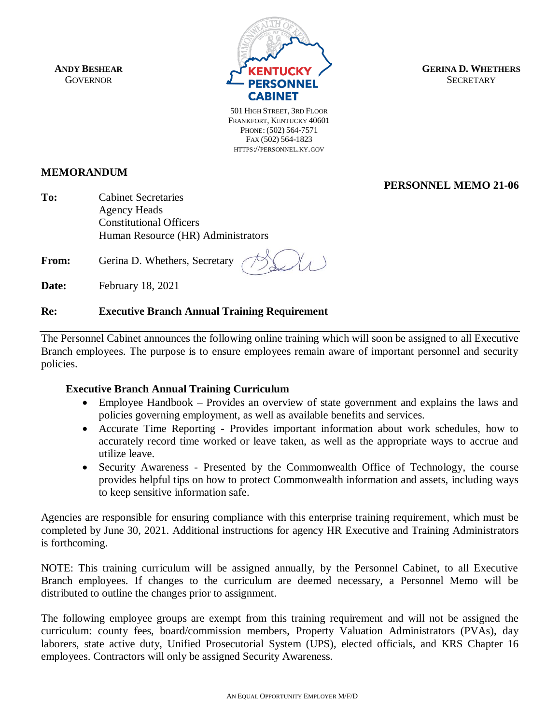**ANDY BESHEAR GOVERNOR** 



**GERINA D. WHETHERS SECRETARY** 

**PERSONNEL MEMO 21-06**

501 HIGH STREET, 3RD FLOOR FRANKFORT, KENTUCKY 40601 PHONE: (502) 564-7571 FAX (502) 564-1823 HTTPS://PERSONNEL.KY.GOV

## **MEMORANDUM**

**To:** Cabinet Secretaries Agency Heads Constitutional Officers Human Resource (HR) Administrators

From: Gerina D. Whethers, Secretary

**Date:** February 18, 2021

## **Re: Executive Branch Annual Training Requirement**

The Personnel Cabinet announces the following online training which will soon be assigned to all Executive Branch employees. The purpose is to ensure employees remain aware of important personnel and security policies.

## **Executive Branch Annual Training Curriculum**

- Employee Handbook Provides an overview of state government and explains the laws and policies governing employment, as well as available benefits and services.
- Accurate Time Reporting Provides important information about work schedules, how to accurately record time worked or leave taken, as well as the appropriate ways to accrue and utilize leave.
- Security Awareness Presented by the Commonwealth Office of Technology, the course provides helpful tips on how to protect Commonwealth information and assets, including ways to keep sensitive information safe.

Agencies are responsible for ensuring compliance with this enterprise training requirement, which must be completed by June 30, 2021. Additional instructions for agency HR Executive and Training Administrators is forthcoming.

NOTE: This training curriculum will be assigned annually, by the Personnel Cabinet, to all Executive Branch employees. If changes to the curriculum are deemed necessary, a Personnel Memo will be distributed to outline the changes prior to assignment.

The following employee groups are exempt from this training requirement and will not be assigned the curriculum: county fees, board/commission members, Property Valuation Administrators (PVAs), day laborers, state active duty, Unified Prosecutorial System (UPS), elected officials, and KRS Chapter 16 employees. Contractors will only be assigned Security Awareness.